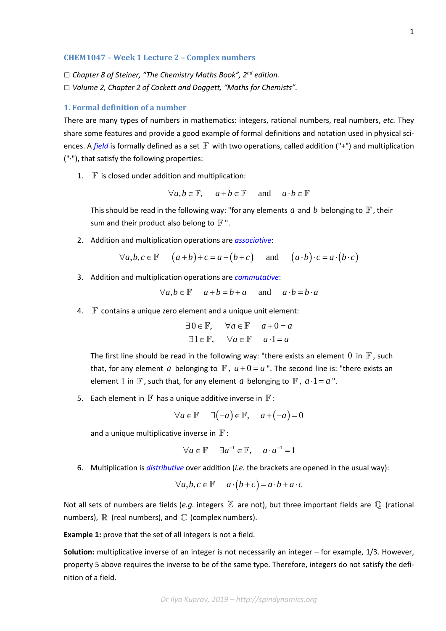## **CHEM1047 – Week 1 Lecture 2 – Complex numbers**

*□ Chapter 8 of Steiner, "The Chemistry Maths Book", 2nd edition. □ Volume 2, Chapter 2 of Cockett and Doggett, "Maths for Chemists".*

# **1. Formal definition of a number**

There are many types of numbers in mathematics: integers, rational numbers, real numbers, *etc.* They share some features and provide a good example of formal definitions and notation used in physical sciences. A *[field](https://en.wikipedia.org/wiki/Field_(mathematics))* is formally defined as a set  $\mathbb F$  with two operations, called addition ("+") and multiplication ("·"), that satisfy the following properties:

1.  $\mathbb F$  is closed under addition and multiplication:

$$
\forall a, b \in \mathbb{F}, \quad a + b \in \mathbb{F} \quad \text{and} \quad a \cdot b \in \mathbb{F}
$$

This should be read in the following way: "for any elements a and b belonging to  $\mathbb F$ , their sum and their product also belong to  $\mathbb{F}$ ".

2. Addition and multiplication operations are *[associative](https://en.wikipedia.org/wiki/Associative_property)*:

$$
\forall a, b, c \in \mathbb{F} \qquad (a+b)+c = a+(b+c) \qquad \text{and} \qquad (a \cdot b) \cdot c = a \cdot (b \cdot c)
$$

3. Addition and multiplication operations are *[commutative](https://en.wikipedia.org/wiki/Commutative_property)*:

$$
\forall a, b \in \mathbb{F} \quad a+b=b+a \quad \text{and} \quad a \cdot b = b \cdot a
$$

4.  $\mathbb F$  contains a unique zero element and a unique unit element:

$$
\exists 0 \in \mathbb{F}, \quad \forall a \in \mathbb{F} \quad a+0=a
$$
  

$$
\exists 1 \in \mathbb{F}, \quad \forall a \in \mathbb{F} \quad a \cdot 1 = a
$$

The first line should be read in the following way: "there exists an element 0 in  $\mathbb F$ , such that, for any element *a* belonging to  $\mathbb{F}$ ,  $a+0=a$ ". The second line is: "there exists an element 1 in  $\mathbb F$ , such that, for any element *a* belonging to  $\mathbb F$ ,  $a \cdot 1 = a$ ".

5. Each element in  $\mathbb F$  has a unique additive inverse in  $\mathbb F$ :

$$
\forall a \in \mathbb{F} \quad \exists (-a) \in \mathbb{F}, \quad a + (-a) = 0
$$

and a unique multiplicative inverse in  $\mathbb{F}$  :

$$
\forall a \in \mathbb{F} \quad \exists a^{-1} \in \mathbb{F}, \quad a \cdot a^{-1} = 1
$$

6. Multiplication is *[distributive](https://en.wikipedia.org/wiki/Distributive_property)* over addition (*i.e.* the brackets are opened in the usual way):

$$
\forall a, b, c \in \mathbb{F} \quad a \cdot (b+c) = a \cdot b + a \cdot c
$$

Not all sets of numbers are fields (e.g. integers  $\mathbb Z$  are not), but three important fields are  $\mathbb Q$  (rational numbers),  $\mathbb R$  (real numbers), and  $\mathbb C$  (complex numbers).

**Example 1:** prove that the set of all integers is not a field.

**Solution:** multiplicative inverse of an integer is not necessarily an integer – for example, 1/3. However, property 5 above requires the inverse to be of the same type. Therefore, integers do not satisfy the definition of a field.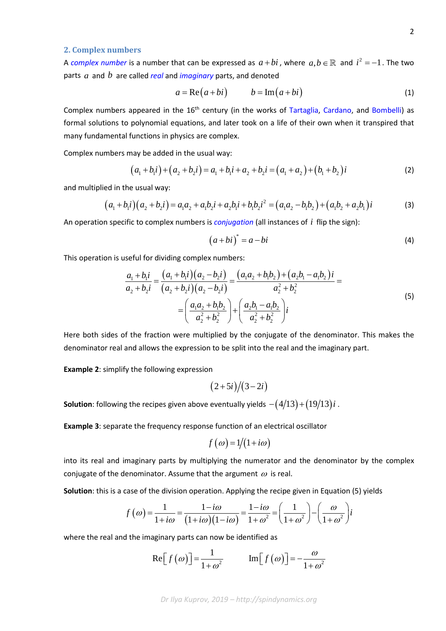## **2. Complex numbers**

A *[complex number](https://en.wikipedia.org/wiki/Complex_number)* is a number that can be expressed as  $a + bi$ , where  $a, b \in \mathbb{R}$  and  $i^2 = -1$ . The two parts *a* and *b* are called *[real](https://en.wikipedia.org/wiki/Real_number)* and *[imaginary](https://en.wikipedia.org/wiki/Imaginary_number)* parts, and denoted

$$
a = \text{Re}(a+bi) \qquad b = \text{Im}(a+bi) \tag{1}
$$

Complex numbers appeared in the 16<sup>th</sup> century (in the works of [Tartaglia,](https://en.wikipedia.org/wiki/Niccol%C3%B2_Fontana_Tartaglia) [Cardano,](https://en.wikipedia.org/wiki/Gerolamo_Cardano) and [Bombelli\)](https://en.wikipedia.org/wiki/Rafael_Bombelli) as formal solutions to polynomial equations, and later took on a life of their own when it transpired that many fundamental functions in physics are complex.

Complex numbers may be added in the usual way:

$$
(a_1 + b_1 i) + (a_2 + b_2 i) = a_1 + b_1 i + a_2 + b_2 i = (a_1 + a_2) + (b_1 + b_2) i
$$
\n(2)

and multiplied in the usual way:

$$
(a_1 + b_1 i)(a_2 + b_2 i) = a_1 a_2 + a_1 b_2 i + a_2 b_1 i + b_1 b_2 i^2 = (a_1 a_2 - b_1 b_2) + (a_1 b_2 + a_2 b_1) i
$$
 (3)

An operation specific to complex numbers is *[conjugation](https://en.wikipedia.org/wiki/Complex_conjugate)* (all instances of *i* flip the sign):

$$
(a+bi)^* = a-bi \tag{4}
$$

This operation is useful for dividing complex numbers:

$$
\frac{a_1 + b_1 i}{a_2 + b_2 i} = \frac{(a_1 + b_1 i)(a_2 - b_2 i)}{(a_2 + b_2 i)(a_2 - b_2 i)} = \frac{(a_1 a_2 + b_1 b_2) + (a_2 b_1 - a_1 b_2)i}{a_2^2 + b_2^2} = \frac{a_1 a_2 + b_1 b_2}{a_2^2 + b_2^2} + \left(\frac{a_2 b_1 - a_1 b_2}{a_2^2 + b_2^2}\right)i
$$
\n(5)

Here both sides of the fraction were multiplied by the conjugate of the denominator. This makes the denominator real and allows the expression to be split into the real and the imaginary part.

**Example 2**: simplify the following expression

$$
(2+5i)/(3-2i)
$$

**Solution**: following the recipes given above eventually yields  $-(4/13) + (19/13)i$ .

**Example 3**: separate the frequency response function of an electrical oscillator

$$
f(\omega) = 1/(1 + i\omega)
$$

into its real and imaginary parts by multiplying the numerator and the denominator by the complex conjugate of the denominator. Assume that the argument  $\omega$  is real.

**Solution**: this is a case of the division operation. Applying the recipe given in Equation (5) yields

$$
f(\omega) = \frac{1}{1+i\omega} = \frac{1-i\omega}{\left(1+i\omega\right)\left(1-i\omega\right)} = \frac{1-i\omega}{1+\omega^2} = \left(\frac{1}{1+\omega^2}\right) - \left(\frac{\omega}{1+\omega^2}\right)i
$$

where the real and the imaginary parts can now be identified as

$$
\text{Re}\left[f\left(\omega\right)\right] = \frac{1}{1+\omega^2} \qquad \text{Im}\left[f\left(\omega\right)\right] = -\frac{\omega}{1+\omega^2}
$$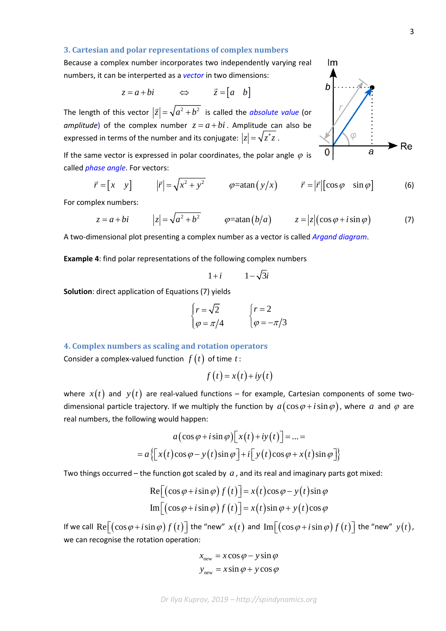#### **3. Cartesian and polar representations of complex numbers**

Because a complex number incorporates two independently varying real numbers, it can be interperted as a *[vector](https://en.wikipedia.org/wiki/Row_and_column_vectors)* in two dimensions:

$$
z = a + bi \qquad \Leftrightarrow \qquad \vec{z} = \begin{bmatrix} a & b \end{bmatrix}
$$

The length of this vector  $|\vec{z}| = \sqrt{a^2 + b^2}$  is called the *[absolute value](https://en.wikipedia.org/wiki/Absolute_value)* (or *amplitude*) of the complex number  $z = a + bi$ . Amplitude can also be expressed in terms of the number and its conjugate:  $|z| = \sqrt{z^* z}$ .

If the same vector is expressed in polar coordinates, the polar angle  $\varphi$  is called *[phase](https://en.wikipedia.org/wiki/Phase_angle) angle*. For vectors:

$$
\vec{r} = \begin{bmatrix} x & y \end{bmatrix} \qquad |\vec{r}| = \sqrt{x^2 + y^2} \qquad \varphi = \text{atan}\left(\frac{y}{x}\right) \qquad \vec{r} = |\vec{r}| \begin{bmatrix} \cos \varphi & \sin \varphi \end{bmatrix} \tag{6}
$$

For complex numbers:

$$
z = a + bi \qquad |z| = \sqrt{a^2 + b^2} \qquad \varphi = \tan(b/a) \qquad z = |z|(\cos \varphi + i \sin \varphi) \qquad (7)
$$

A two-dimensional plot presenting a complex number as a vector is called *[Argand diagram](https://en.wikipedia.org/wiki/Complex_plane#Argand_diagram)*.

**Example 4**: find polar representations of the following complex numbers

 $1 + i = 1 - \sqrt{3}i$ 

**Solution**: direct application of Equations (7) yields

$$
\begin{cases} r = \sqrt{2} & \quad \int r = 2 \\ \varphi = \pi/4 & \quad \varphi = -\pi/3 \end{cases}
$$

**4. Complex numbers as scaling and rotation operators**

Consider a complex-valued function  $f(t)$  of time  $t$ :

$$
f(t) = x(t) + iy(t)
$$

where  $x(t)$  and  $y(t)$  are real-valued functions – for example, Cartesian components of some twodimensional particle trajectory. If we multiply the function by  $a(\cos \varphi + i \sin \varphi)$ , where a and  $\varphi$  are real numbers, the following would happen:

$$
a(\cos\varphi + i\sin\varphi)[x(t) + iy(t)] = ... =
$$
  
=  $a\{[x(t)\cos\varphi - y(t)\sin\varphi] + i[y(t)\cos\varphi + x(t)\sin\varphi]\}$ 

Two things occurred – the function got scaled by *a* , and its real and imaginary parts got mixed:

$$
Re[(\cos\varphi + i\sin\varphi) f(t)] = x(t)\cos\varphi - y(t)\sin\varphi
$$
  
Im[(\cos\varphi + i\sin\varphi) f(t)] = x(t)\sin\varphi + y(t)\cos\varphi

If we call  $\text{Re}[(\cos \varphi + i \sin \varphi) f(t)]$  the "new"  $x(t)$  and  $\text{Im}[(\cos \varphi + i \sin \varphi) f(t)]$  the "new"  $y(t)$ , we can recognise the rotation operation:

$$
xnew = x cos \varphi - y sin \varphi
$$
  

$$
ynew = x sin \varphi + y cos \varphi
$$



 $Im$